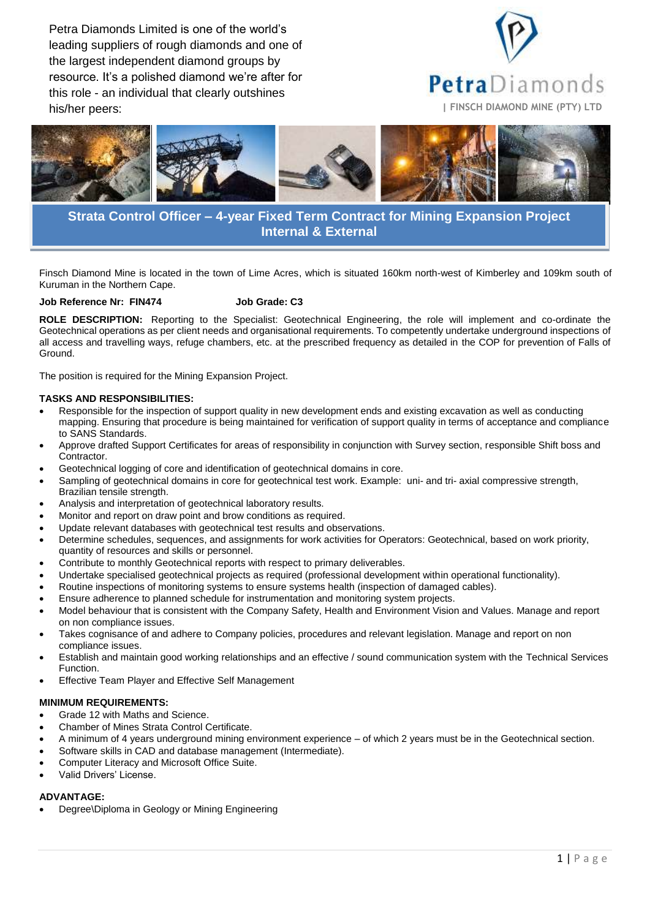Petra Diamonds Limited is one of the world's leading suppliers of rough diamonds and one of the largest independent diamond groups by resource. It's a polished diamond we're after for this role - an individual that clearly outshines his/her peers: **| FINSCH DIAMOND MINE (PTY) LTD**





# **Strata Control Officer – 4-year Fixed Term Contract for Mining Expansion Project Internal & External**

Finsch Diamond Mine is located in the town of Lime Acres, which is situated 160km north-west of Kimberley and 109km south of Kuruman in the Northern Cape.

#### **Job Reference Nr: FIN474 Job Grade: C3**

**ROLE DESCRIPTION:** Reporting to the Specialist: Geotechnical Engineering, the role will implement and co-ordinate the Geotechnical operations as per client needs and organisational requirements. To competently undertake underground inspections of all access and travelling ways, refuge chambers, etc. at the prescribed frequency as detailed in the COP for prevention of Falls of Ground.

The position is required for the Mining Expansion Project.

### **TASKS AND RESPONSIBILITIES:**

- Responsible for the inspection of support quality in new development ends and existing excavation as well as conducting mapping. Ensuring that procedure is being maintained for verification of support quality in terms of acceptance and compliance to SANS Standards.
- Approve drafted Support Certificates for areas of responsibility in conjunction with Survey section, responsible Shift boss and **Contractor**
- Geotechnical logging of core and identification of geotechnical domains in core.
- Sampling of geotechnical domains in core for geotechnical test work. Example: uni- and tri- axial compressive strength, Brazilian tensile strength.
- Analysis and interpretation of geotechnical laboratory results.
- Monitor and report on draw point and brow conditions as required.
- Update relevant databases with geotechnical test results and observations.
- Determine schedules, sequences, and assignments for work activities for Operators: Geotechnical, based on work priority, quantity of resources and skills or personnel.
- Contribute to monthly Geotechnical reports with respect to primary deliverables.
- Undertake specialised geotechnical projects as required (professional development within operational functionality).
- Routine inspections of monitoring systems to ensure systems health (inspection of damaged cables).
- Ensure adherence to planned schedule for instrumentation and monitoring system projects.
- Model behaviour that is consistent with the Company Safety, Health and Environment Vision and Values. Manage and report on non compliance issues.
- Takes cognisance of and adhere to Company policies, procedures and relevant legislation. Manage and report on non compliance issues.
- Establish and maintain good working relationships and an effective / sound communication system with the Technical Services Function.
- Effective Team Player and Effective Self Management

#### **MINIMUM REQUIREMENTS:**

- Grade 12 with Maths and Science.
- Chamber of Mines Strata Control Certificate.
- A minimum of 4 years underground mining environment experience of which 2 years must be in the Geotechnical section.
- Software skills in CAD and database management (Intermediate).
- Computer Literacy and Microsoft Office Suite.
- Valid Drivers' License.

## **ADVANTAGE:**

Degree\Diploma in Geology or Mining Engineering